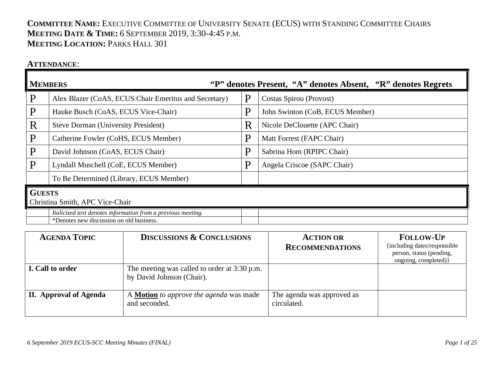## **COMMITTEE NAME:** EXECUTIVE COMMITTEE OF UNIVERSITY SENATE (ECUS) WITH STANDING COMMITTEE CHAIRS **MEETING DATE & TIME:** 6 SEPTEMBER 2019, 3:30-4:45 P.M. **MEETING LOCATION:** PARKS HALL 301

### **ATTENDANCE**:

| <b>MEMBERS</b> | "P" denotes Present, "A" denotes Absent, "R" denotes Regrets                                             |   |                                 |
|----------------|----------------------------------------------------------------------------------------------------------|---|---------------------------------|
| P              | Alex Blazer (CoAS, ECUS Chair Emeritus and Secretary)                                                    | P | Costas Spirou (Provost)         |
| P              | Hauke Busch (CoAS, ECUS Vice-Chair)                                                                      | P | John Swinton (CoB, ECUS Member) |
| R              | <b>Steve Dorman (University President)</b>                                                               | R | Nicole DeClouette (APC Chair)   |
| P              | Catherine Fowler (CoHS, ECUS Member)                                                                     | P | Matt Forrest (FAPC Chair)       |
| P              | David Johnson (CoAS, ECUS Chair)                                                                         | P | Sabrina Hom (RPIPC Chair)       |
| P              | Lyndall Muschell (CoE, ECUS Member)                                                                      | P | Angela Criscoe (SAPC Chair)     |
|                | To Be Determined (Library, ECUS Member)                                                                  |   |                                 |
| <b>GUESTS</b>  | Christina Smith, APC Vice-Chair                                                                          |   |                                 |
|                | Italicized text denotes information from a previous meeting.<br>*Denotes new discussion on old business. |   |                                 |

| <b>AGENDA TOPIC</b>    | <b>DISCUSSIONS &amp; CONCLUSIONS</b>                                      | <b>ACTION OR</b><br><b>RECOMMENDATIONS</b> | <b>FOLLOW-UP</b><br>{including dates/responsible} |
|------------------------|---------------------------------------------------------------------------|--------------------------------------------|---------------------------------------------------|
|                        |                                                                           |                                            | person, status (pending,<br>ongoing, completed) } |
| I. Call to order       | The meeting was called to order at 3:30 p.m.<br>by David Johnson (Chair). |                                            |                                                   |
| II. Approval of Agenda | A <b>Motion</b> to approve the agenda was made<br>and seconded.           | The agenda was approved as<br>circulated.  |                                                   |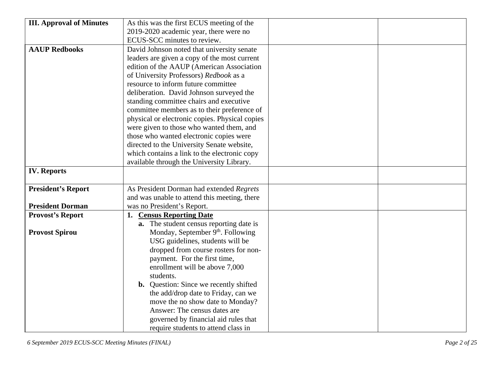| <b>III. Approval of Minutes</b> | As this was the first ECUS meeting of the      |
|---------------------------------|------------------------------------------------|
|                                 | 2019-2020 academic year, there were no         |
|                                 | ECUS-SCC minutes to review.                    |
| <b>AAUP Redbooks</b>            | David Johnson noted that university senate     |
|                                 | leaders are given a copy of the most current   |
|                                 | edition of the AAUP (American Association      |
|                                 | of University Professors) Redbook as a         |
|                                 | resource to inform future committee            |
|                                 | deliberation. David Johnson surveyed the       |
|                                 | standing committee chairs and executive        |
|                                 | committee members as to their preference of    |
|                                 | physical or electronic copies. Physical copies |
|                                 | were given to those who wanted them, and       |
|                                 | those who wanted electronic copies were        |
|                                 | directed to the University Senate website,     |
|                                 | which contains a link to the electronic copy   |
|                                 | available through the University Library.      |
| <b>IV. Reports</b>              |                                                |
|                                 |                                                |
| <b>President's Report</b>       | As President Dorman had extended Regrets       |
|                                 | and was unable to attend this meeting, there   |
| <b>President Dorman</b>         | was no President's Report.                     |
| <b>Provost's Report</b>         | <b>Census Reporting Date</b><br>1.             |
|                                 | a. The student census reporting date is        |
| <b>Provost Spirou</b>           | Monday, September 9 <sup>th</sup> . Following  |
|                                 | USG guidelines, students will be               |
|                                 | dropped from course rosters for non-           |
|                                 | payment. For the first time,                   |
|                                 | enrollment will be above 7,000                 |
|                                 | students.                                      |
|                                 | <b>b.</b> Question: Since we recently shifted  |
|                                 | the add/drop date to Friday, can we            |
|                                 | move the no show date to Monday?               |
|                                 | Answer: The census dates are                   |
|                                 | governed by financial aid rules that           |
|                                 | require students to attend class in            |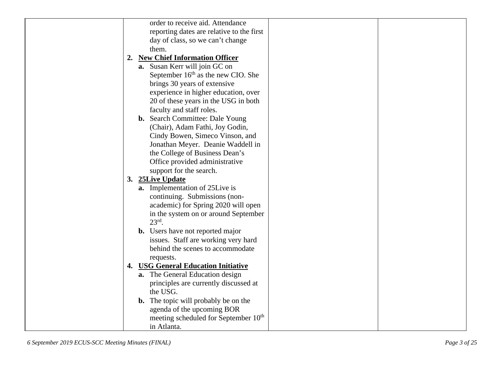| order to receive aid. Attendance                 |  |
|--------------------------------------------------|--|
| reporting dates are relative to the first        |  |
| day of class, so we can't change                 |  |
| them.                                            |  |
| 2. New Chief Information Officer                 |  |
| a. Susan Kerr will join GC on                    |  |
| September $16th$ as the new CIO. She             |  |
| brings 30 years of extensive                     |  |
| experience in higher education, over             |  |
| 20 of these years in the USG in both             |  |
| faculty and staff roles.                         |  |
| <b>b.</b> Search Committee: Dale Young           |  |
| (Chair), Adam Fathi, Joy Godin,                  |  |
| Cindy Bowen, Simeco Vinson, and                  |  |
| Jonathan Meyer. Deanie Waddell in                |  |
| the College of Business Dean's                   |  |
| Office provided administrative                   |  |
| support for the search.                          |  |
| 3. 25Live Update                                 |  |
| a. Implementation of 25Live is                   |  |
| continuing. Submissions (non-                    |  |
| academic) for Spring 2020 will open              |  |
| in the system on or around September             |  |
| $23rd$ .                                         |  |
| <b>b.</b> Users have not reported major          |  |
| issues. Staff are working very hard              |  |
| behind the scenes to accommodate                 |  |
| requests.                                        |  |
| 4. USG General Education Initiative              |  |
| a. The General Education design                  |  |
| principles are currently discussed at            |  |
| the USG.                                         |  |
| <b>b.</b> The topic will probably be on the      |  |
| agenda of the upcoming BOR                       |  |
| meeting scheduled for September 10 <sup>th</sup> |  |
| in Atlanta.                                      |  |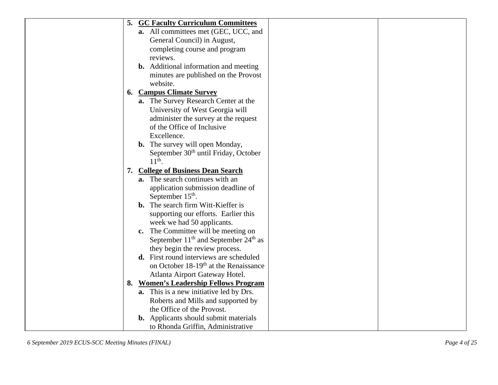|  | 5. GC Faculty Curriculum Committees               |  |
|--|---------------------------------------------------|--|
|  | a. All committees met (GEC, UCC, and              |  |
|  | General Council) in August,                       |  |
|  | completing course and program                     |  |
|  | reviews.                                          |  |
|  | <b>b.</b> Additional information and meeting      |  |
|  | minutes are published on the Provost              |  |
|  | website.                                          |  |
|  | 6. Campus Climate Survey                          |  |
|  | a. The Survey Research Center at the              |  |
|  | University of West Georgia will                   |  |
|  | administer the survey at the request              |  |
|  | of the Office of Inclusive                        |  |
|  | Excellence.                                       |  |
|  | <b>b.</b> The survey will open Monday,            |  |
|  | September 30 <sup>th</sup> until Friday, October  |  |
|  | $11th$ .                                          |  |
|  | 7. College of Business Dean Search                |  |
|  | <b>a.</b> The search continues with an            |  |
|  | application submission deadline of                |  |
|  | September $15th$ .                                |  |
|  | <b>b.</b> The search firm Witt-Kieffer is         |  |
|  | supporting our efforts. Earlier this              |  |
|  | week we had 50 applicants.                        |  |
|  | The Committee will be meeting on<br>$c_{\bullet}$ |  |
|  | September $11th$ and September $24th$ as          |  |
|  | they begin the review process.                    |  |
|  | d. First round interviews are scheduled           |  |
|  | on October 18-19 <sup>th</sup> at the Renaissance |  |
|  | Atlanta Airport Gateway Hotel.                    |  |
|  | 8. Women's Leadership Fellows Program             |  |
|  | <b>a.</b> This is a new initiative led by Drs.    |  |
|  | Roberts and Mills and supported by                |  |
|  | the Office of the Provost.                        |  |
|  | <b>b.</b> Applicants should submit materials      |  |
|  | to Rhonda Griffin, Administrative                 |  |
|  |                                                   |  |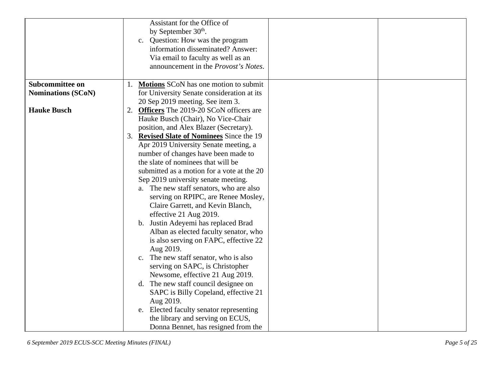|                           | Assistant for the Office of<br>by September 30 <sup>th</sup> .<br>c. Question: How was the program<br>information disseminated? Answer:<br>Via email to faculty as well as an<br>announcement in the <i>Provost's Notes</i> . |
|---------------------------|-------------------------------------------------------------------------------------------------------------------------------------------------------------------------------------------------------------------------------|
|                           |                                                                                                                                                                                                                               |
| Subcommittee on           | 1. Motions SCoN has one motion to submit                                                                                                                                                                                      |
| <b>Nominations (SCoN)</b> | for University Senate consideration at its                                                                                                                                                                                    |
|                           | 20 Sep 2019 meeting. See item 3.                                                                                                                                                                                              |
| <b>Hauke Busch</b>        | <b>Officers</b> The 2019-20 SCoN officers are<br>2.                                                                                                                                                                           |
|                           | Hauke Busch (Chair), No Vice-Chair                                                                                                                                                                                            |
|                           | position, and Alex Blazer (Secretary).                                                                                                                                                                                        |
|                           | 3. Revised Slate of Nominees Since the 19                                                                                                                                                                                     |
|                           | Apr 2019 University Senate meeting, a                                                                                                                                                                                         |
|                           | number of changes have been made to                                                                                                                                                                                           |
|                           | the slate of nominees that will be                                                                                                                                                                                            |
|                           | submitted as a motion for a vote at the 20                                                                                                                                                                                    |
|                           | Sep 2019 university senate meeting.                                                                                                                                                                                           |
|                           | a. The new staff senators, who are also                                                                                                                                                                                       |
|                           | serving on RPIPC, are Renee Mosley,                                                                                                                                                                                           |
|                           | Claire Garrett, and Kevin Blanch,                                                                                                                                                                                             |
|                           | effective 21 Aug 2019.                                                                                                                                                                                                        |
|                           | b. Justin Adeyemi has replaced Brad                                                                                                                                                                                           |
|                           | Alban as elected faculty senator, who                                                                                                                                                                                         |
|                           | is also serving on FAPC, effective 22                                                                                                                                                                                         |
|                           | Aug 2019.                                                                                                                                                                                                                     |
|                           | c. The new staff senator, who is also                                                                                                                                                                                         |
|                           | serving on SAPC, is Christopher                                                                                                                                                                                               |
|                           | Newsome, effective 21 Aug 2019.                                                                                                                                                                                               |
|                           | d. The new staff council designee on                                                                                                                                                                                          |
|                           | SAPC is Billy Copeland, effective 21                                                                                                                                                                                          |
|                           | Aug 2019.                                                                                                                                                                                                                     |
|                           | e. Elected faculty senator representing                                                                                                                                                                                       |
|                           | the library and serving on ECUS,                                                                                                                                                                                              |
|                           | Donna Bennet, has resigned from the                                                                                                                                                                                           |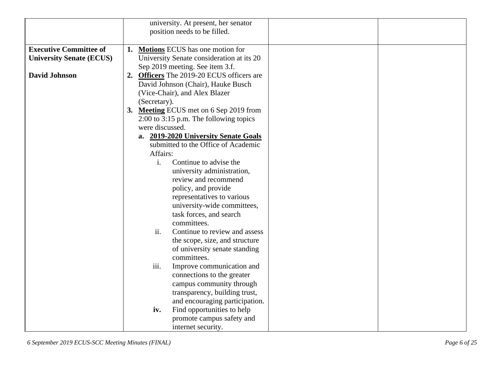|                                                                  | university. At present, her senator<br>position needs to be filled.                                                              |
|------------------------------------------------------------------|----------------------------------------------------------------------------------------------------------------------------------|
| <b>Executive Committee of</b><br><b>University Senate (ECUS)</b> | 1. Motions ECUS has one motion for<br>University Senate consideration at its 20<br>Sep 2019 meeting. See item 3.f.               |
| <b>David Johnson</b>                                             | 2. Officers The 2019-20 ECUS officers are<br>David Johnson (Chair), Hauke Busch<br>(Vice-Chair), and Alex Blazer<br>(Secretary). |
|                                                                  | 3. Meeting ECUS met on 6 Sep 2019 from<br>2:00 to 3:15 p.m. The following topics                                                 |
|                                                                  | were discussed.<br>a. 2019-2020 University Senate Goals<br>submitted to the Office of Academic<br>Affairs:                       |
|                                                                  | Continue to advise the<br>i.<br>university administration,<br>review and recommend<br>policy, and provide                        |
|                                                                  | representatives to various<br>university-wide committees,<br>task forces, and search<br>committees.                              |
|                                                                  | ii.<br>Continue to review and assess<br>the scope, size, and structure<br>of university senate standing<br>committees.           |
|                                                                  | iii.<br>Improve communication and<br>connections to the greater<br>campus community through<br>transparency, building trust,     |
|                                                                  | and encouraging participation.<br>Find opportunities to help<br>iv.<br>promote campus safety and<br>internet security.           |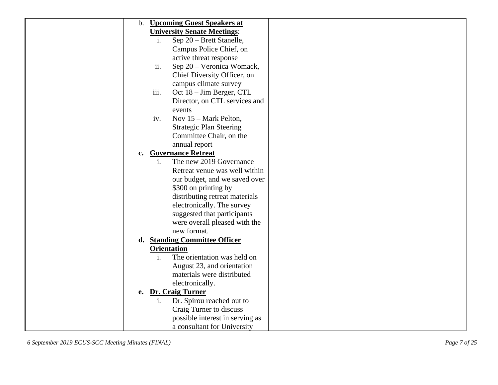| b. Upcoming Guest Speakers at      |
|------------------------------------|
| <b>University Senate Meetings:</b> |
| Sep 20 - Brett Stanelle,<br>i.     |
| Campus Police Chief, on            |
| active threat response             |
| ii.<br>Sep 20 - Veronica Womack,   |
| Chief Diversity Officer, on        |
| campus climate survey              |
| iii.<br>Oct 18 – Jim Berger, CTL   |
| Director, on CTL services and      |
| events                             |
| Nov $15$ – Mark Pelton,<br>iv.     |
| <b>Strategic Plan Steering</b>     |
| Committee Chair, on the            |
| annual report                      |
| <b>Governance Retreat</b><br>c.    |
| The new 2019 Governance<br>i.      |
| Retreat venue was well within      |
| our budget, and we saved over      |
| \$300 on printing by               |
| distributing retreat materials     |
| electronically. The survey         |
| suggested that participants        |
| were overall pleased with the      |
| new format.                        |
| d. Standing Committee Officer      |
| <b>Orientation</b>                 |
| The orientation was held on<br>i.  |
| August 23, and orientation         |
| materials were distributed         |
| electronically.                    |
| e. Dr. Craig Turner                |
| Dr. Spirou reached out to<br>i.    |
| Craig Turner to discuss            |
| possible interest in serving as    |
| a consultant for University        |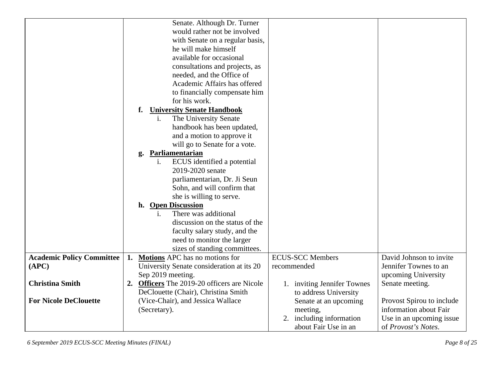|                                  | Senate. Although Dr. Turner                    |                             |                           |
|----------------------------------|------------------------------------------------|-----------------------------|---------------------------|
|                                  | would rather not be involved                   |                             |                           |
|                                  | with Senate on a regular basis,                |                             |                           |
|                                  | he will make himself                           |                             |                           |
|                                  | available for occasional                       |                             |                           |
|                                  | consultations and projects, as                 |                             |                           |
|                                  | needed, and the Office of                      |                             |                           |
|                                  | Academic Affairs has offered                   |                             |                           |
|                                  |                                                |                             |                           |
|                                  | to financially compensate him<br>for his work. |                             |                           |
|                                  |                                                |                             |                           |
|                                  | <b>University Senate Handbook</b><br>f.        |                             |                           |
|                                  | The University Senate<br>i.                    |                             |                           |
|                                  | handbook has been updated,                     |                             |                           |
|                                  | and a motion to approve it                     |                             |                           |
|                                  | will go to Senate for a vote.                  |                             |                           |
|                                  | Parliamentarian<br>g.                          |                             |                           |
|                                  | ECUS identified a potential<br>i.              |                             |                           |
|                                  | 2019-2020 senate                               |                             |                           |
|                                  | parliamentarian, Dr. Ji Seun                   |                             |                           |
|                                  | Sohn, and will confirm that                    |                             |                           |
|                                  | she is willing to serve.                       |                             |                           |
|                                  | <b>Open Discussion</b><br>h.                   |                             |                           |
|                                  | There was additional<br>i.                     |                             |                           |
|                                  | discussion on the status of the                |                             |                           |
|                                  | faculty salary study, and the                  |                             |                           |
|                                  | need to monitor the larger                     |                             |                           |
|                                  | sizes of standing committees.                  |                             |                           |
| <b>Academic Policy Committee</b> | Motions APC has no motions for<br>1.           | <b>ECUS-SCC Members</b>     | David Johnson to invite   |
| (APC)                            | University Senate consideration at its 20      | recommended                 | Jennifer Townes to an     |
|                                  | Sep 2019 meeting.                              |                             | upcoming University       |
| <b>Christina Smith</b>           | 2. Officers The 2019-20 officers are Nicole    | 1. inviting Jennifer Townes | Senate meeting.           |
|                                  | DeClouette (Chair), Christina Smith            | to address University       |                           |
| <b>For Nicole DeClouette</b>     | (Vice-Chair), and Jessica Wallace              | Senate at an upcoming       | Provost Spirou to include |
|                                  | (Secretary).                                   | meeting,                    | information about Fair    |
|                                  |                                                | including information<br>2. | Use in an upcoming issue  |
|                                  |                                                | about Fair Use in an        | of Provost's Notes.       |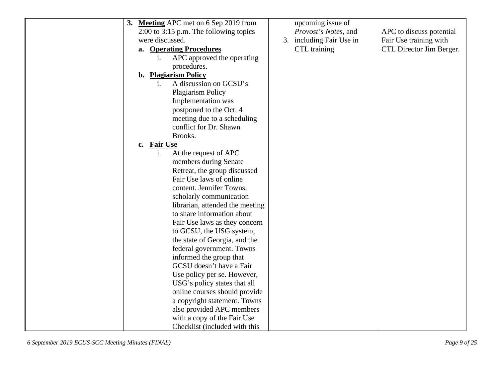|  |                                  | 3. Meeting APC met on 6 Sep 2019 from    | upcoming issue of        |                          |
|--|----------------------------------|------------------------------------------|--------------------------|--------------------------|
|  |                                  | $2:00$ to 3:15 p.m. The following topics | Provost's Notes, and     | APC to discuss potential |
|  | were discussed.                  |                                          | 3. including Fair Use in | Fair Use training with   |
|  |                                  | a. Operating Procedures                  | CTL training             | CTL Director Jim Berger. |
|  | $\mathbf{1}$ .                   | APC approved the operating               |                          |                          |
|  |                                  | procedures.                              |                          |                          |
|  |                                  | b. Plagiarism Policy                     |                          |                          |
|  | i.                               | A discussion on GCSU's                   |                          |                          |
|  |                                  | <b>Plagiarism Policy</b>                 |                          |                          |
|  |                                  | Implementation was                       |                          |                          |
|  |                                  | postponed to the Oct. 4                  |                          |                          |
|  |                                  | meeting due to a scheduling              |                          |                          |
|  |                                  | conflict for Dr. Shawn                   |                          |                          |
|  |                                  | Brooks.                                  |                          |                          |
|  | <b>Fair Use</b><br>$c_{\bullet}$ |                                          |                          |                          |
|  | $\mathbf{1}$ .                   | At the request of APC                    |                          |                          |
|  |                                  | members during Senate                    |                          |                          |
|  |                                  | Retreat, the group discussed             |                          |                          |
|  |                                  | Fair Use laws of online                  |                          |                          |
|  |                                  | content. Jennifer Towns,                 |                          |                          |
|  |                                  | scholarly communication                  |                          |                          |
|  |                                  | librarian, attended the meeting          |                          |                          |
|  |                                  | to share information about               |                          |                          |
|  |                                  | Fair Use laws as they concern            |                          |                          |
|  |                                  | to GCSU, the USG system,                 |                          |                          |
|  |                                  | the state of Georgia, and the            |                          |                          |
|  |                                  | federal government. Towns                |                          |                          |
|  |                                  | informed the group that                  |                          |                          |
|  |                                  | GCSU doesn't have a Fair                 |                          |                          |
|  |                                  | Use policy per se. However,              |                          |                          |
|  |                                  | USG's policy states that all             |                          |                          |
|  |                                  | online courses should provide            |                          |                          |
|  |                                  | a copyright statement. Towns             |                          |                          |
|  |                                  | also provided APC members                |                          |                          |
|  |                                  | with a copy of the Fair Use              |                          |                          |
|  |                                  | Checklist (included with this            |                          |                          |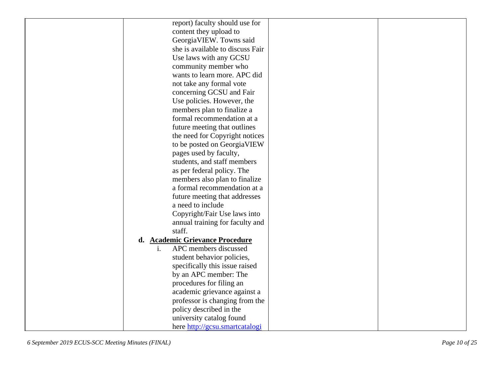| report) faculty should use for          |  |
|-----------------------------------------|--|
| content they upload to                  |  |
| GeorgiaVIEW. Towns said                 |  |
| she is available to discuss Fair        |  |
| Use laws with any GCSU                  |  |
| community member who                    |  |
| wants to learn more. APC did            |  |
| not take any formal vote                |  |
| concerning GCSU and Fair                |  |
| Use policies. However, the              |  |
| members plan to finalize a              |  |
| formal recommendation at a              |  |
| future meeting that outlines            |  |
| the need for Copyright notices          |  |
| to be posted on GeorgiaVIEW             |  |
| pages used by faculty,                  |  |
| students, and staff members             |  |
| as per federal policy. The              |  |
| members also plan to finalize           |  |
| a formal recommendation at a            |  |
| future meeting that addresses           |  |
| a need to include                       |  |
| Copyright/Fair Use laws into            |  |
| annual training for faculty and         |  |
| staff.                                  |  |
| d. Academic Grievance Procedure         |  |
| APC members discussed<br>$\mathbf{i}$ . |  |
| student behavior policies,              |  |
| specifically this issue raised          |  |
| by an APC member: The                   |  |
| procedures for filing an                |  |
| academic grievance against a            |  |
| professor is changing from the          |  |
| policy described in the                 |  |
| university catalog found                |  |
| here http://gcsu.smartcatalogi          |  |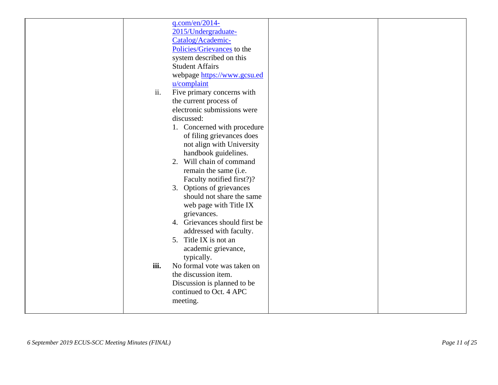| q.com/en/2014-<br>2015/Undergraduate-<br>Catalog/Academic-<br>Policies/Grievances to the<br>system described on this<br><b>Student Affairs</b><br>webpage https://www.gcsu.ed<br>u/complaint<br>Five primary concerns with<br>ii.<br>the current process of<br>electronic submissions were<br>discussed:<br>1. Concerned with procedure<br>of filing grievances does<br>not align with University<br>handbook guidelines.<br>2. Will chain of command<br>remain the same (i.e.<br>Faculty notified first?)?<br>3. Options of grievances<br>should not share the same<br>web page with Title IX<br>grievances.<br>4. Grievances should first be<br>addressed with faculty.<br>5. Title IX is not an<br>academic grievance,<br>typically.<br>iii.<br>No formal vote was taken on<br>the discussion item.<br>Discussion is planned to be |  |
|---------------------------------------------------------------------------------------------------------------------------------------------------------------------------------------------------------------------------------------------------------------------------------------------------------------------------------------------------------------------------------------------------------------------------------------------------------------------------------------------------------------------------------------------------------------------------------------------------------------------------------------------------------------------------------------------------------------------------------------------------------------------------------------------------------------------------------------|--|
| continued to Oct. 4 APC<br>meeting.                                                                                                                                                                                                                                                                                                                                                                                                                                                                                                                                                                                                                                                                                                                                                                                                   |  |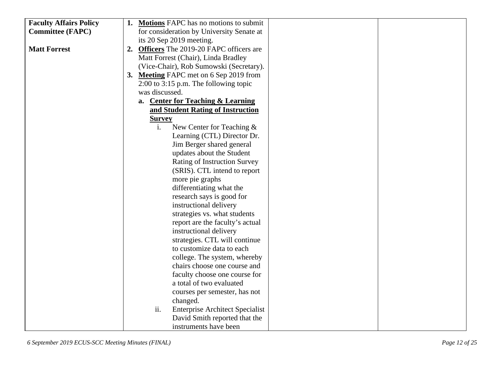| <b>Faculty Affairs Policy</b> | <b>Motions FAPC</b> has no motions to submit        |
|-------------------------------|-----------------------------------------------------|
| <b>Committee (FAPC)</b>       | for consideration by University Senate at           |
|                               | its 20 Sep 2019 meeting.                            |
| <b>Matt Forrest</b>           | <b>Officers</b> The 2019-20 FAPC officers are<br>2. |
|                               | Matt Forrest (Chair), Linda Bradley                 |
|                               | (Vice-Chair), Rob Sumowski (Secretary).             |
|                               | 3. Meeting FAPC met on 6 Sep 2019 from              |
|                               | $2:00$ to 3:15 p.m. The following topic             |
|                               | was discussed.                                      |
|                               | a. Center for Teaching & Learning                   |
|                               | and Student Rating of Instruction                   |
|                               | <b>Survey</b>                                       |
|                               | New Center for Teaching &<br>$\mathbf{i}$ .         |
|                               | Learning (CTL) Director Dr.                         |
|                               | Jim Berger shared general                           |
|                               | updates about the Student                           |
|                               | <b>Rating of Instruction Survey</b>                 |
|                               | (SRIS). CTL intend to report                        |
|                               | more pie graphs                                     |
|                               | differentiating what the                            |
|                               | research says is good for                           |
|                               | instructional delivery                              |
|                               | strategies vs. what students                        |
|                               | report are the faculty's actual                     |
|                               | instructional delivery                              |
|                               | strategies. CTL will continue                       |
|                               | to customize data to each                           |
|                               | college. The system, whereby                        |
|                               | chairs choose one course and                        |
|                               | faculty choose one course for                       |
|                               | a total of two evaluated                            |
|                               | courses per semester, has not                       |
|                               | changed.                                            |
|                               | ii.<br><b>Enterprise Architect Specialist</b>       |
|                               | David Smith reported that the                       |
|                               | instruments have been                               |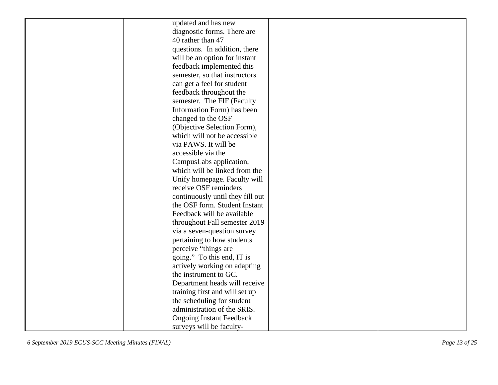| updated and has new              |  |
|----------------------------------|--|
| diagnostic forms. There are      |  |
| 40 rather than 47                |  |
|                                  |  |
| questions. In addition, there    |  |
| will be an option for instant    |  |
| feedback implemented this        |  |
| semester, so that instructors    |  |
| can get a feel for student       |  |
| feedback throughout the          |  |
| semester. The FIF (Faculty       |  |
| Information Form) has been       |  |
| changed to the OSF               |  |
| (Objective Selection Form),      |  |
| which will not be accessible     |  |
| via PAWS. It will be             |  |
| accessible via the               |  |
| CampusLabs application,          |  |
| which will be linked from the    |  |
| Unify homepage. Faculty will     |  |
| receive OSF reminders            |  |
| continuously until they fill out |  |
| the OSF form. Student Instant    |  |
| Feedback will be available       |  |
|                                  |  |
| throughout Fall semester 2019    |  |
| via a seven-question survey      |  |
| pertaining to how students       |  |
| perceive "things are             |  |
| going." To this end, IT is       |  |
| actively working on adapting     |  |
| the instrument to GC.            |  |
| Department heads will receive    |  |
| training first and will set up   |  |
| the scheduling for student       |  |
| administration of the SRIS.      |  |
| <b>Ongoing Instant Feedback</b>  |  |
| surveys will be faculty-         |  |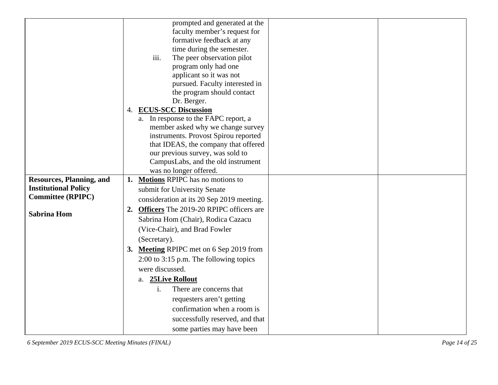|                                                         | prompted and generated at the                                 |
|---------------------------------------------------------|---------------------------------------------------------------|
|                                                         | faculty member's request for                                  |
|                                                         | formative feedback at any                                     |
|                                                         | time during the semester.                                     |
|                                                         | The peer observation pilot<br>iii.                            |
|                                                         | program only had one                                          |
|                                                         | applicant so it was not                                       |
|                                                         | pursued. Faculty interested in                                |
|                                                         | the program should contact                                    |
|                                                         | Dr. Berger.                                                   |
|                                                         | 4. ECUS-SCC Discussion                                        |
|                                                         | a. In response to the FAPC report, a                          |
|                                                         | member asked why we change survey                             |
|                                                         | instruments. Provost Spirou reported                          |
|                                                         | that IDEAS, the company that offered                          |
|                                                         | our previous survey, was sold to                              |
|                                                         | CampusLabs, and the old instrument                            |
|                                                         | was no longer offered.                                        |
| <b>Resources, Planning, and</b>                         | <b>Motions</b> RPIPC has no motions to<br>1.                  |
| <b>Institutional Policy</b><br><b>Committee (RPIPC)</b> | submit for University Senate                                  |
|                                                         | consideration at its 20 Sep 2019 meeting.                     |
| <b>Sabrina Hom</b>                                      | <b>Officers</b> The 2019-20 RPIPC officers are<br>2.          |
|                                                         | Sabrina Hom (Chair), Rodica Cazacu                            |
|                                                         | (Vice-Chair), and Brad Fowler                                 |
|                                                         | (Secretary).                                                  |
|                                                         | 3. Meeting RPIPC met on 6 Sep 2019 from                       |
|                                                         |                                                               |
|                                                         |                                                               |
|                                                         | $2:00$ to 3:15 p.m. The following topics                      |
|                                                         | were discussed.                                               |
|                                                         | <b>25Live Rollout</b><br>a.                                   |
|                                                         | i.<br>There are concerns that                                 |
|                                                         | requesters aren't getting                                     |
|                                                         | confirmation when a room is                                   |
|                                                         | successfully reserved, and that<br>some parties may have been |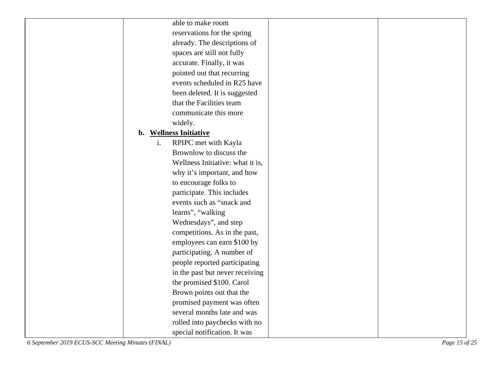| able to make room                |  |
|----------------------------------|--|
| reservations for the spring      |  |
| already. The descriptions of     |  |
| spaces are still not fully       |  |
| accurate. Finally, it was        |  |
| pointed out that recurring       |  |
| events scheduled in R25 have     |  |
| been deleted. It is suggested    |  |
| that the Facilities team         |  |
| communicate this more            |  |
| widely.                          |  |
| b. Wellness Initiative           |  |
| RPIPC met with Kayla<br>i.       |  |
| Brownlow to discuss the          |  |
| Wellness Initiative: what it is, |  |
| why it's important, and how      |  |
| to encourage folks to            |  |
| participate. This includes       |  |
| events such as "snack and        |  |
| learns", "walking                |  |
| Wednesdays", and step            |  |
| competitions. As in the past,    |  |
| employees can earn \$100 by      |  |
| participating. A number of       |  |
| people reported participating    |  |
| in the past but never receiving  |  |
| the promised \$100. Carol        |  |
| Brown points out that the        |  |
| promised payment was often       |  |
| several months late and was      |  |
| rolled into paychecks with no    |  |
| special notification. It was     |  |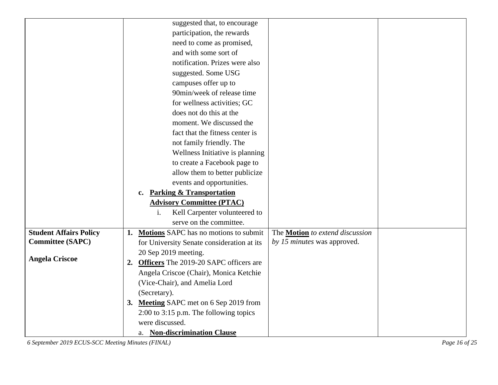|                               | suggested that, to encourage                                                          |
|-------------------------------|---------------------------------------------------------------------------------------|
|                               | participation, the rewards                                                            |
|                               | need to come as promised,                                                             |
|                               | and with some sort of                                                                 |
|                               | notification. Prizes were also                                                        |
|                               | suggested. Some USG                                                                   |
|                               | campuses offer up to                                                                  |
|                               | 90min/week of release time                                                            |
|                               | for wellness activities; GC                                                           |
|                               | does not do this at the                                                               |
|                               | moment. We discussed the                                                              |
|                               | fact that the fitness center is                                                       |
|                               | not family friendly. The                                                              |
|                               | Wellness Initiative is planning                                                       |
|                               | to create a Facebook page to                                                          |
|                               | allow them to better publicize                                                        |
|                               | events and opportunities.                                                             |
|                               | c. Parking & Transportation                                                           |
|                               | <b>Advisory Committee (PTAC)</b>                                                      |
|                               | Kell Carpenter volunteered to<br>i.                                                   |
|                               | serve on the committee.                                                               |
| <b>Student Affairs Policy</b> | <b>Motions</b> SAPC has no motions to submit<br>The Motion to extend discussion<br>1. |
| <b>Committee (SAPC)</b>       | by 15 minutes was approved.<br>for University Senate consideration at its             |
| <b>Angela Criscoe</b>         | 20 Sep 2019 meeting.                                                                  |
|                               | <b>Officers</b> The 2019-20 SAPC officers are<br>2.                                   |
|                               | Angela Criscoe (Chair), Monica Ketchie                                                |
|                               | (Vice-Chair), and Amelia Lord                                                         |
|                               | (Secretary).                                                                          |
|                               | <b>Meeting SAPC</b> met on 6 Sep 2019 from<br>3.                                      |
|                               | $2:00$ to 3:15 p.m. The following topics                                              |
|                               | were discussed.                                                                       |
|                               | a. Non-discrimination Clause                                                          |

*6 September 2019 ECUS-SCC Meeting Minutes (FINAL) Page 16 of 25*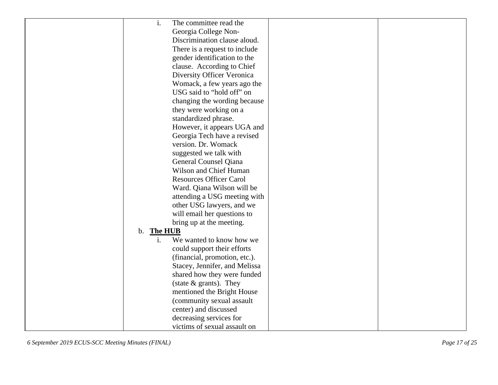| i.<br>The committee read the   |  |
|--------------------------------|--|
| Georgia College Non-           |  |
| Discrimination clause aloud.   |  |
| There is a request to include  |  |
| gender identification to the   |  |
| clause. According to Chief     |  |
| Diversity Officer Veronica     |  |
| Womack, a few years ago the    |  |
| USG said to "hold off" on      |  |
| changing the wording because   |  |
| they were working on a         |  |
| standardized phrase.           |  |
| However, it appears UGA and    |  |
| Georgia Tech have a revised    |  |
| version. Dr. Womack            |  |
| suggested we talk with         |  |
| General Counsel Qiana          |  |
| Wilson and Chief Human         |  |
| <b>Resources Officer Carol</b> |  |
| Ward. Qiana Wilson will be     |  |
| attending a USG meeting with   |  |
| other USG lawyers, and we      |  |
| will email her questions to    |  |
| bring up at the meeting.       |  |
| The HUB<br>$\mathbf b$ .       |  |
| We wanted to know how we<br>i. |  |
| could support their efforts    |  |
| (financial, promotion, etc.).  |  |
| Stacey, Jennifer, and Melissa  |  |
| shared how they were funded    |  |
| (state $&$ grants). They       |  |
| mentioned the Bright House     |  |
| (community sexual assault      |  |
| center) and discussed          |  |
| decreasing services for        |  |
| victims of sexual assault on   |  |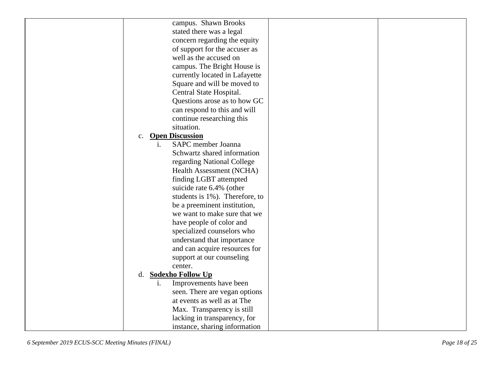| campus. Shawn Brooks                                                                                                                                                                                                                                                                                                                                                                                                                                         |
|--------------------------------------------------------------------------------------------------------------------------------------------------------------------------------------------------------------------------------------------------------------------------------------------------------------------------------------------------------------------------------------------------------------------------------------------------------------|
| stated there was a legal                                                                                                                                                                                                                                                                                                                                                                                                                                     |
| concern regarding the equity                                                                                                                                                                                                                                                                                                                                                                                                                                 |
| of support for the accuser as                                                                                                                                                                                                                                                                                                                                                                                                                                |
| well as the accused on                                                                                                                                                                                                                                                                                                                                                                                                                                       |
|                                                                                                                                                                                                                                                                                                                                                                                                                                                              |
| campus. The Bright House is                                                                                                                                                                                                                                                                                                                                                                                                                                  |
| currently located in Lafayette                                                                                                                                                                                                                                                                                                                                                                                                                               |
| Square and will be moved to                                                                                                                                                                                                                                                                                                                                                                                                                                  |
| Central State Hospital.                                                                                                                                                                                                                                                                                                                                                                                                                                      |
| Questions arose as to how GC                                                                                                                                                                                                                                                                                                                                                                                                                                 |
| can respond to this and will                                                                                                                                                                                                                                                                                                                                                                                                                                 |
| continue researching this                                                                                                                                                                                                                                                                                                                                                                                                                                    |
|                                                                                                                                                                                                                                                                                                                                                                                                                                                              |
| $\mathbf{c}$ .                                                                                                                                                                                                                                                                                                                                                                                                                                               |
| i.                                                                                                                                                                                                                                                                                                                                                                                                                                                           |
| Schwartz shared information                                                                                                                                                                                                                                                                                                                                                                                                                                  |
| regarding National College                                                                                                                                                                                                                                                                                                                                                                                                                                   |
| Health Assessment (NCHA)                                                                                                                                                                                                                                                                                                                                                                                                                                     |
| finding LGBT attempted                                                                                                                                                                                                                                                                                                                                                                                                                                       |
| suicide rate 6.4% (other                                                                                                                                                                                                                                                                                                                                                                                                                                     |
| students is $1\%$ ). Therefore, to                                                                                                                                                                                                                                                                                                                                                                                                                           |
| be a preeminent institution,                                                                                                                                                                                                                                                                                                                                                                                                                                 |
| we want to make sure that we                                                                                                                                                                                                                                                                                                                                                                                                                                 |
|                                                                                                                                                                                                                                                                                                                                                                                                                                                              |
|                                                                                                                                                                                                                                                                                                                                                                                                                                                              |
|                                                                                                                                                                                                                                                                                                                                                                                                                                                              |
|                                                                                                                                                                                                                                                                                                                                                                                                                                                              |
|                                                                                                                                                                                                                                                                                                                                                                                                                                                              |
|                                                                                                                                                                                                                                                                                                                                                                                                                                                              |
|                                                                                                                                                                                                                                                                                                                                                                                                                                                              |
|                                                                                                                                                                                                                                                                                                                                                                                                                                                              |
|                                                                                                                                                                                                                                                                                                                                                                                                                                                              |
|                                                                                                                                                                                                                                                                                                                                                                                                                                                              |
|                                                                                                                                                                                                                                                                                                                                                                                                                                                              |
|                                                                                                                                                                                                                                                                                                                                                                                                                                                              |
|                                                                                                                                                                                                                                                                                                                                                                                                                                                              |
| situation.<br><b>Open Discussion</b><br>SAPC member Joanna<br>have people of color and<br>specialized counselors who<br>understand that importance<br>and can acquire resources for<br>support at our counseling<br>center.<br><b>Sodexho Follow Up</b><br>d.<br>Improvements have been<br>i.<br>seen. There are vegan options<br>at events as well as at The<br>Max. Transparency is still<br>lacking in transparency, for<br>instance, sharing information |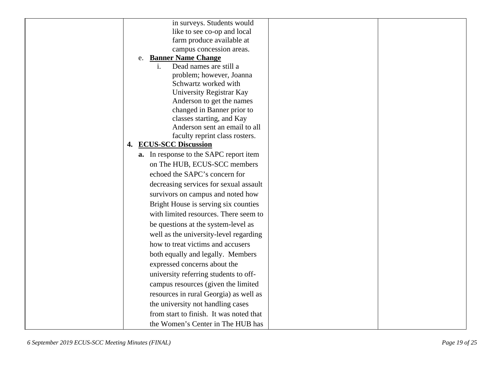| in surveys. Students would                                 |
|------------------------------------------------------------|
| like to see co-op and local                                |
| farm produce available at                                  |
| campus concession areas.                                   |
| e. Banner Name Change                                      |
| Dead names are still a<br>$\mathbf{i}$ .                   |
| problem; however, Joanna                                   |
| Schwartz worked with                                       |
| University Registrar Kay                                   |
| Anderson to get the names                                  |
| changed in Banner prior to                                 |
| classes starting, and Kay<br>Anderson sent an email to all |
| faculty reprint class rosters.                             |
| 4. ECUS-SCC Discussion                                     |
| a. In response to the SAPC report item                     |
|                                                            |
| on The HUB, ECUS-SCC members                               |
| echoed the SAPC's concern for                              |
| decreasing services for sexual assault                     |
| survivors on campus and noted how                          |
| Bright House is serving six counties                       |
| with limited resources. There seem to                      |
| be questions at the system-level as                        |
| well as the university-level regarding                     |
| how to treat victims and accusers                          |
| both equally and legally. Members                          |
| expressed concerns about the                               |
| university referring students to off-                      |
| campus resources (given the limited                        |
| resources in rural Georgia) as well as                     |
| the university not handling cases                          |
| from start to finish. It was noted that                    |
| the Women's Center in The HUB has                          |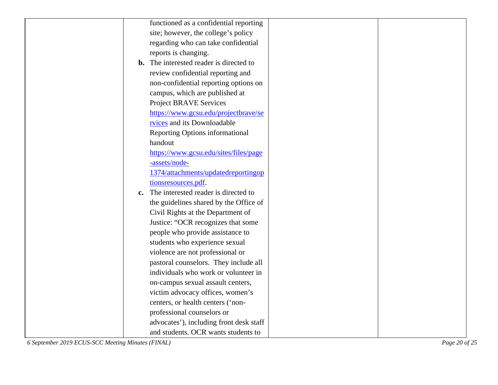|               | functioned as a confidential reporting         |  |
|---------------|------------------------------------------------|--|
|               | site; however, the college's policy            |  |
|               | regarding who can take confidential            |  |
|               | reports is changing.                           |  |
|               | <b>b.</b> The interested reader is directed to |  |
|               | review confidential reporting and              |  |
|               | non-confidential reporting options on          |  |
|               | campus, which are published at                 |  |
|               | Project BRAVE Services                         |  |
|               | https://www.gcsu.edu/projectbrave/se           |  |
|               | rvices and its Downloadable                    |  |
|               | Reporting Options informational                |  |
|               | handout                                        |  |
|               | https://www.gcsu.edu/sites/files/page          |  |
|               | -assets/node-                                  |  |
|               | 1374/attachments/updatedreportingop            |  |
|               | tionsresources.pdf.                            |  |
| $c_{\bullet}$ | The interested reader is directed to           |  |
|               | the guidelines shared by the Office of         |  |
|               | Civil Rights at the Department of              |  |
|               | Justice: "OCR recognizes that some             |  |
|               | people who provide assistance to               |  |
|               | students who experience sexual                 |  |
|               | violence are not professional or               |  |
|               | pastoral counselors. They include all          |  |
|               | individuals who work or volunteer in           |  |
|               | on-campus sexual assault centers,              |  |
|               | victim advocacy offices, women's               |  |
|               | centers, or health centers ('non-              |  |
|               | professional counselors or                     |  |
|               | advocates'), including front desk staff        |  |
|               | and students. OCR wants students to            |  |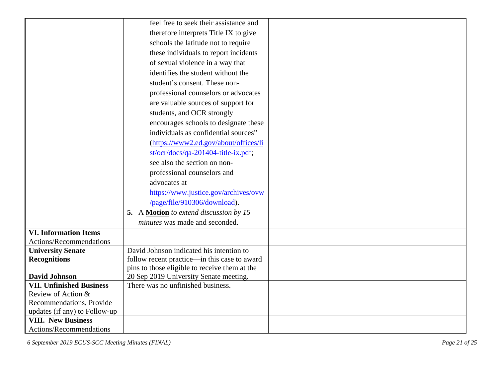|                                                       | feel free to seek their assistance and        |
|-------------------------------------------------------|-----------------------------------------------|
|                                                       | therefore interprets Title IX to give         |
|                                                       | schools the latitude not to require           |
|                                                       | these individuals to report incidents         |
|                                                       | of sexual violence in a way that              |
|                                                       | identifies the student without the            |
|                                                       | student's consent. These non-                 |
|                                                       | professional counselors or advocates          |
|                                                       | are valuable sources of support for           |
|                                                       | students, and OCR strongly                    |
|                                                       |                                               |
|                                                       | encourages schools to designate these         |
|                                                       | individuals as confidential sources"          |
|                                                       | (https://www2.ed.gov/about/offices/li         |
|                                                       | st/ocr/docs/qa-201404-title-ix.pdf;           |
|                                                       | see also the section on non-                  |
|                                                       | professional counselors and                   |
|                                                       | advocates at                                  |
|                                                       | https://www.justice.gov/archives/ovw          |
|                                                       | /page/file/910306/download).                  |
|                                                       | 5. A Motion to extend discussion by 15        |
|                                                       | minutes was made and seconded.                |
| <b>VI. Information Items</b>                          |                                               |
| Actions/Recommendations                               |                                               |
| <b>University Senate</b>                              | David Johnson indicated his intention to      |
| <b>Recognitions</b>                                   | follow recent practice—in this case to award  |
|                                                       | pins to those eligible to receive them at the |
| <b>David Johnson</b>                                  | 20 Sep 2019 University Senate meeting.        |
| <b>VII. Unfinished Business</b><br>Review of Action & | There was no unfinished business.             |
| Recommendations, Provide                              |                                               |
| updates (if any) to Follow-up                         |                                               |
| <b>VIII. New Business</b>                             |                                               |
| Actions/Recommendations                               |                                               |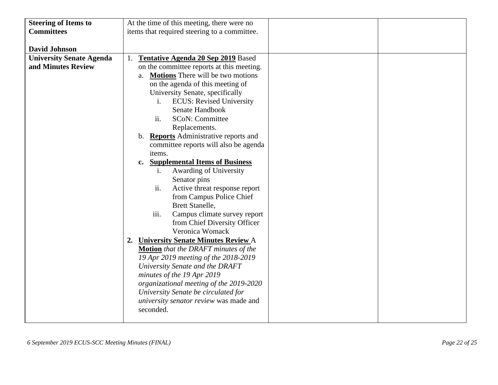| <b>Steering of Items to</b>     | At the time of this meeting, there were no             |
|---------------------------------|--------------------------------------------------------|
| <b>Committees</b>               | items that required steering to a committee.           |
|                                 |                                                        |
| <b>David Johnson</b>            |                                                        |
| <b>University Senate Agenda</b> | <b>Tentative Agenda 20 Sep 2019</b> Based<br>1.        |
| and Minutes Review              | on the committee reports at this meeting.              |
|                                 | <b>Motions</b> There will be two motions<br>a.         |
|                                 | on the agenda of this meeting of                       |
|                                 | University Senate, specifically                        |
|                                 | <b>ECUS: Revised University</b><br>$\mathbf{i}$ .      |
|                                 | Senate Handbook                                        |
|                                 | ii.<br><b>SCoN: Committee</b>                          |
|                                 | Replacements.                                          |
|                                 | b. Reports Administrative reports and                  |
|                                 | committee reports will also be agenda                  |
|                                 | items.                                                 |
|                                 | <b>Supplemental Items of Business</b><br>$c_{\bullet}$ |
|                                 | Awarding of University<br>$\mathbf{i}$ .               |
|                                 | Senator pins                                           |
|                                 | Active threat response report<br>ii.                   |
|                                 | from Campus Police Chief                               |
|                                 | <b>Brett Stanelle,</b>                                 |
|                                 | Campus climate survey report<br>iii.                   |
|                                 | from Chief Diversity Officer                           |
|                                 | Veronica Womack                                        |
|                                 | 2. University Senate Minutes Review A                  |
|                                 | <b>Motion</b> that the DRAFT minutes of the            |
|                                 | 19 Apr 2019 meeting of the 2018-2019                   |
|                                 | University Senate and the DRAFT                        |
|                                 | minutes of the 19 Apr 2019                             |
|                                 | organizational meeting of the 2019-2020                |
|                                 | University Senate be circulated for                    |
|                                 | university senator review was made and                 |
|                                 | seconded.                                              |
|                                 |                                                        |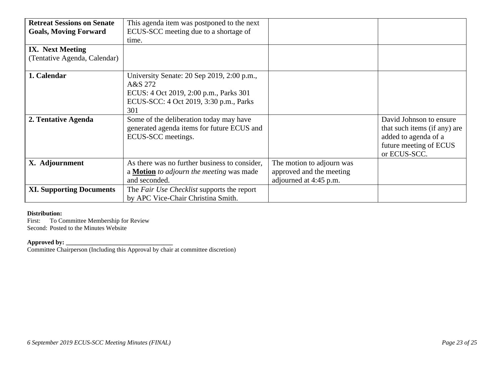| <b>Retreat Sessions on Senate</b><br><b>Goals, Moving Forward</b><br><b>IX.</b> Next Meeting<br>(Tentative Agenda, Calendar) | This agenda item was postponed to the next<br>ECUS-SCC meeting due to a shortage of<br>time.                                                     |                                                                                 |                                                                                                                           |
|------------------------------------------------------------------------------------------------------------------------------|--------------------------------------------------------------------------------------------------------------------------------------------------|---------------------------------------------------------------------------------|---------------------------------------------------------------------------------------------------------------------------|
| 1. Calendar                                                                                                                  | University Senate: 20 Sep 2019, 2:00 p.m.,<br>A&S 272<br>ECUS: 4 Oct 2019, 2:00 p.m., Parks 301<br>ECUS-SCC: 4 Oct 2019, 3:30 p.m., Parks<br>301 |                                                                                 |                                                                                                                           |
| 2. Tentative Agenda                                                                                                          | Some of the deliberation today may have<br>generated agenda items for future ECUS and<br>ECUS-SCC meetings.                                      |                                                                                 | David Johnson to ensure<br>that such items (if any) are<br>added to agenda of a<br>future meeting of ECUS<br>or ECUS-SCC. |
| X. Adjournment                                                                                                               | As there was no further business to consider,<br>a <b>Motion</b> to adjourn the meeting was made<br>and seconded.                                | The motion to adjourn was<br>approved and the meeting<br>adjourned at 4:45 p.m. |                                                                                                                           |
| <b>XI. Supporting Documents</b>                                                                                              | The Fair Use Checklist supports the report<br>by APC Vice-Chair Christina Smith.                                                                 |                                                                                 |                                                                                                                           |

### **Distribution:**

First: To Committee Membership for Review Second: Posted to the Minutes Website

#### **Approved by: \_\_\_\_\_\_\_\_\_\_\_\_\_\_\_\_\_\_\_\_\_\_\_\_\_\_\_\_\_\_\_\_\_\_**

Committee Chairperson (Including this Approval by chair at committee discretion)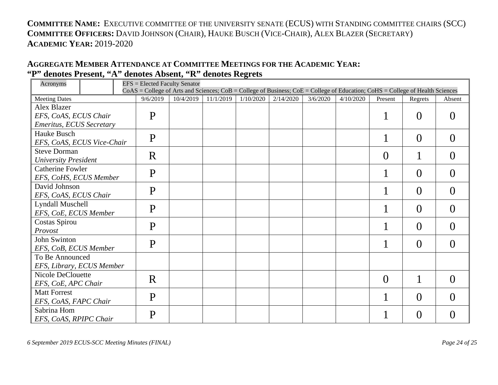# **COMMITTEE NAME:** EXECUTIVE COMMITTEE OF THE UNIVERSITY SENATE (ECUS) WITH STANDING COMMITTEE CHAIRS (SCC) **COMMITTEE OFFICERS:** DAVID JOHNSON (CHAIR), HAUKE BUSCH (VICE-CHAIR), ALEX BLAZER (SECRETARY) **ACADEMIC YEAR:** 2019-2020

### **AGGREGATE MEMBER ATTENDANCE AT COMMITTEE MEETINGS FOR THE ACADEMIC YEAR: "P" denotes Present, "A" denotes Absent, "R" denotes Regrets**

| Acronyms                    |  |              | EFS = Elected Faculty Senator |           |           |           |           |          |                                                                                                                               |                |                  |                  |
|-----------------------------|--|--------------|-------------------------------|-----------|-----------|-----------|-----------|----------|-------------------------------------------------------------------------------------------------------------------------------|----------------|------------------|------------------|
|                             |  |              |                               |           |           |           |           |          | CoAS = College of Arts and Sciences; CoB = College of Business; CoE = College of Education; CoHS = College of Health Sciences |                |                  |                  |
| <b>Meeting Dates</b>        |  |              | 9/6/2019                      | 10/4/2019 | 11/1/2019 | 1/10/2020 | 2/14/2020 | 3/6/2020 | 4/10/2020                                                                                                                     | Present        | Regrets          | Absent           |
| Alex Blazer                 |  |              |                               |           |           |           |           |          |                                                                                                                               |                |                  |                  |
| EFS, CoAS, ECUS Chair       |  | $\mathbf{P}$ |                               |           |           |           |           |          |                                                                                                                               | $\overline{0}$ |                  |                  |
| Emeritus, ECUS Secretary    |  |              |                               |           |           |           |           |          |                                                                                                                               |                |                  |                  |
| Hauke Busch                 |  |              |                               |           |           |           |           |          |                                                                                                                               |                |                  |                  |
| EFS, CoAS, ECUS Vice-Chair  |  | P            |                               |           |           |           |           |          |                                                                                                                               | $\overline{0}$ | $\left( \right)$ |                  |
| <b>Steve Dorman</b>         |  |              | $\mathbf R$                   |           |           |           |           |          |                                                                                                                               | $\theta$       |                  |                  |
| <b>University President</b> |  |              |                               |           |           |           |           |          |                                                                                                                               |                | $\left( \right)$ |                  |
| <b>Catherine Fowler</b>     |  |              | P                             |           |           |           |           |          |                                                                                                                               |                | $\theta$         | $\left( \right)$ |
| EFS, CoHS, ECUS Member      |  |              |                               |           |           |           |           |          |                                                                                                                               |                |                  |                  |
| David Johnson               |  |              | P                             |           |           |           |           |          |                                                                                                                               | 1              | $\theta$         | 0                |
| EFS, CoAS, ECUS Chair       |  |              |                               |           |           |           |           |          |                                                                                                                               |                |                  |                  |
| Lyndall Muschell            |  |              | P                             |           |           |           |           |          |                                                                                                                               |                | $\theta$         | $\left( \right)$ |
| EFS, CoE, ECUS Member       |  |              |                               |           |           |           |           |          |                                                                                                                               |                |                  |                  |
| Costas Spirou               |  |              | $\mathbf{P}$                  |           |           |           |           |          |                                                                                                                               |                | $\theta$         | 0                |
| Provost                     |  |              |                               |           |           |           |           |          |                                                                                                                               |                |                  |                  |
| John Swinton                |  |              | $\mathbf{P}$                  |           |           |           |           |          |                                                                                                                               |                | $\theta$         | 0                |
| EFS, CoB, ECUS Member       |  |              |                               |           |           |           |           |          |                                                                                                                               |                |                  |                  |
| To Be Announced             |  |              |                               |           |           |           |           |          |                                                                                                                               |                |                  |                  |
| EFS, Library, ECUS Member   |  |              |                               |           |           |           |           |          |                                                                                                                               |                |                  |                  |
| Nicole DeClouette           |  |              | R                             |           |           |           |           |          |                                                                                                                               | $\overline{0}$ |                  | 0                |
| EFS, CoE, APC Chair         |  |              |                               |           |           |           |           |          |                                                                                                                               |                |                  |                  |
| <b>Matt Forrest</b>         |  |              | $\mathbf{P}$                  |           |           |           |           |          |                                                                                                                               |                | $\Omega$         | 0                |
| EFS, CoAS, FAPC Chair       |  |              |                               |           |           |           |           |          |                                                                                                                               |                |                  |                  |
| Sabrina Hom                 |  |              | P                             |           |           |           |           |          |                                                                                                                               |                | $\theta$         | $\left( \right)$ |
| EFS, CoAS, RPIPC Chair      |  |              |                               |           |           |           |           |          |                                                                                                                               |                |                  |                  |